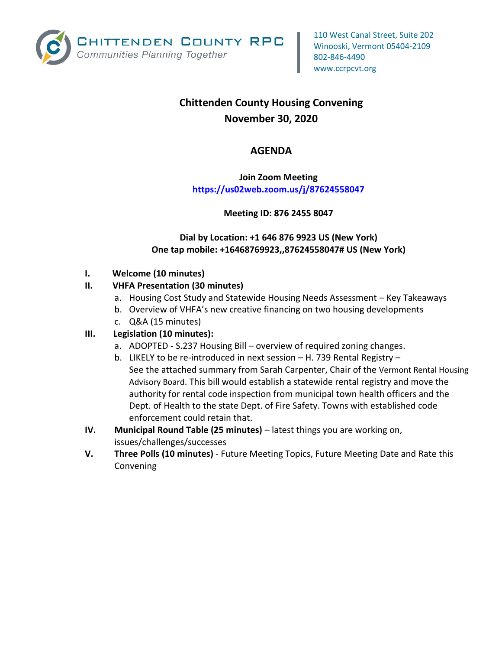

# **Chittenden County Housing Convening November 30, 2020**

# **AGENDA**

# **Join Zoom Meeting <https://us02web.zoom.us/j/87624558047>**

#### **Meeting ID: 876 2455 8047**

#### **Dial by Location: +1 646 876 9923 US (New York) One tap mobile: +16468769923,,87624558047# US (New York)**

#### **I. Welcome (10 minutes)**

#### **II. VHFA Presentation (30 minutes)**

- a. Housing Cost Study and Statewide Housing Needs Assessment Key Takeaways
- b. Overview of VHFA's new creative financing on two housing developments
- c. Q&A (15 minutes)

## **III. Legislation (10 minutes):**

- a. ADOPTED S.237 Housing Bill overview of required zoning changes.
- b. LIKELY to be re-introduced in next session H. 739 Rental Registry See the attached summary from Sarah Carpenter, Chair of the [Vermont Rental Housing](https://accd.vermont.gov/housing/partners/Act188)  [Advisory Board](https://accd.vermont.gov/housing/partners/Act188). This bill would establish a statewide rental registry and move the authority for rental code inspection from municipal town health officers and the Dept. of Health to the state Dept. of Fire Safety. Towns with established code enforcement could retain that.
- **IV. Municipal Round Table (25 minutes)** latest things you are working on, issues/challenges/successes
- **V. Three Polls (10 minutes)** Future Meeting Topics, Future Meeting Date and Rate this Convening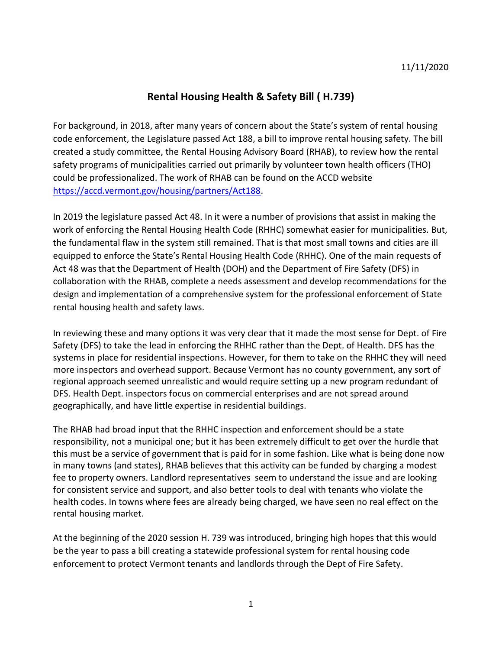# **Rental Housing Health & Safety Bill ( H.739)**

For background, in 2018, after many years of concern about the State's system of rental housing code enforcement, the Legislature passed Act 188, a bill to improve rental housing safety. The bill created a study committee, the Rental Housing Advisory Board (RHAB), to review how the rental safety programs of municipalities carried out primarily by volunteer town health officers (THO) could be professionalized. The work of RHAB can be found on the ACCD website [https://accd.vermont.gov/housing/partners/Act188.](https://accd.vermont.gov/housing/partners/Act188)

In 2019 the legislature passed Act 48. In it were a number of provisions that assist in making the work of enforcing the Rental Housing Health Code (RHHC) somewhat easier for municipalities. But, the fundamental flaw in the system still remained. That is that most small towns and cities are ill equipped to enforce the State's Rental Housing Health Code (RHHC). One of the main requests of Act 48 was that the Department of Health (DOH) and the Department of Fire Safety (DFS) in collaboration with the RHAB, complete a needs assessment and develop recommendations for the design and implementation of a comprehensive system for the professional enforcement of State rental housing health and safety laws.

In reviewing these and many options it was very clear that it made the most sense for Dept. of Fire Safety (DFS) to take the lead in enforcing the RHHC rather than the Dept. of Health. DFS has the systems in place for residential inspections. However, for them to take on the RHHC they will need more inspectors and overhead support. Because Vermont has no county government, any sort of regional approach seemed unrealistic and would require setting up a new program redundant of DFS. Health Dept. inspectors focus on commercial enterprises and are not spread around geographically, and have little expertise in residential buildings.

The RHAB had broad input that the RHHC inspection and enforcement should be a state responsibility, not a municipal one; but it has been extremely difficult to get over the hurdle that this must be a service of government that is paid for in some fashion. Like what is being done now in many towns (and states), RHAB believes that this activity can be funded by charging a modest fee to property owners. Landlord representatives seem to understand the issue and are looking for consistent service and support, and also better tools to deal with tenants who violate the health codes. In towns where fees are already being charged, we have seen no real effect on the rental housing market.

At the beginning of the 2020 session H. 739 was introduced, bringing high hopes that this would be the year to pass a bill creating a statewide professional system for rental housing code enforcement to protect Vermont tenants and landlords through the Dept of Fire Safety.